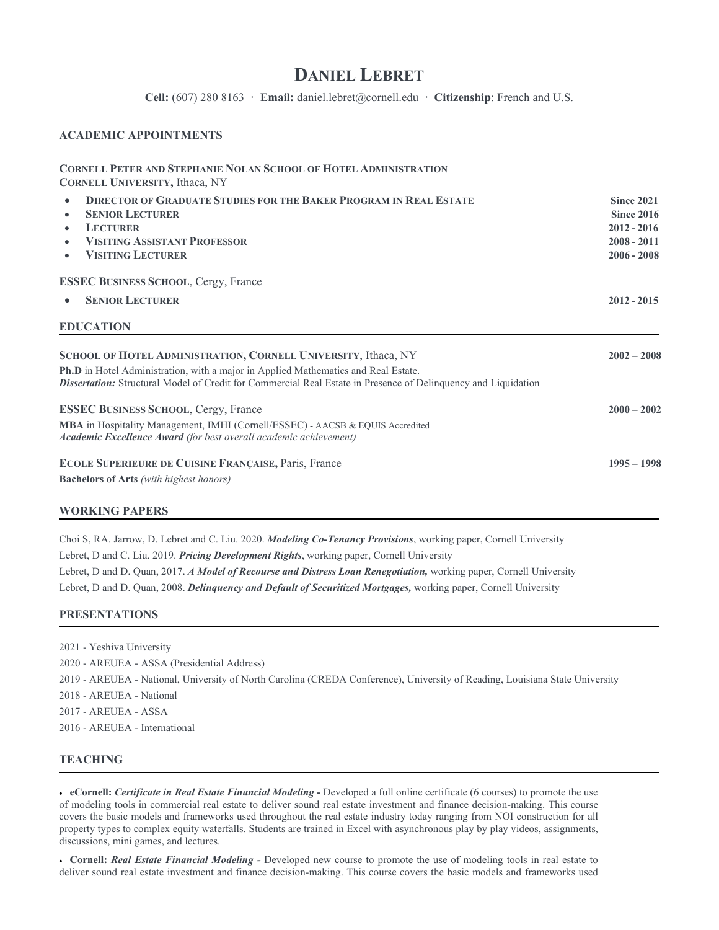# **DANIEL LEBRET**

**Cell:** (607) 280 8163 **· Email:** [daniel.lebret@cornell.edu](mailto:daniel.lebret@cornell.edu) **· Citizenship**: French and U.S.

# **ACADEMIC APPOINTMENTS**

| <b>CORNELL PETER AND STEPHANIE NOLAN SCHOOL OF HOTEL ADMINISTRATION</b><br><b>CORNELL UNIVERSITY, Ithaca, NY</b>                                                                                                                                          |                                                                                           |
|-----------------------------------------------------------------------------------------------------------------------------------------------------------------------------------------------------------------------------------------------------------|-------------------------------------------------------------------------------------------|
| <b>DIRECTOR OF GRADUATE STUDIES FOR THE BAKER PROGRAM IN REAL ESTATE</b><br>$\bullet$<br><b>SENIOR LECTURER</b><br>$\bullet$<br><b>LECTURER</b><br>$\bullet$<br><b>VISITING ASSISTANT PROFESSOR</b><br>$\bullet$<br><b>VISITING LECTURER</b><br>$\bullet$ | <b>Since 2021</b><br><b>Since 2016</b><br>$2012 - 2016$<br>$2008 - 2011$<br>$2006 - 2008$ |
| <b>ESSEC BUSINESS SCHOOL, Cergy, France</b>                                                                                                                                                                                                               |                                                                                           |
| <b>SENIOR LECTURER</b>                                                                                                                                                                                                                                    | $2012 - 2015$                                                                             |
| <b>EDUCATION</b>                                                                                                                                                                                                                                          |                                                                                           |
| SCHOOL OF HOTEL ADMINISTRATION, CORNELL UNIVERSITY, Ithaca, NY<br>Ph.D in Hotel Administration, with a major in Applied Mathematics and Real Estate.                                                                                                      | $2002 - 2008$                                                                             |
| <b>Dissertation:</b> Structural Model of Credit for Commercial Real Estate in Presence of Delinquency and Liquidation                                                                                                                                     |                                                                                           |
| <b>ESSEC BUSINESS SCHOOL, Cergy, France</b>                                                                                                                                                                                                               | $2000 - 2002$                                                                             |
| MBA in Hospitality Management, IMHI (Cornell/ESSEC) - AACSB & EQUIS Accredited<br><b>Academic Excellence Award</b> (for best overall academic achievement)                                                                                                |                                                                                           |
| <b>ECOLE SUPERIEURE DE CUISINE FRANÇAISE, Paris, France</b>                                                                                                                                                                                               | $1995 - 1998$                                                                             |
| <b>Bachelors of Arts</b> (with highest honors)                                                                                                                                                                                                            |                                                                                           |

# **WORKING PAPERS**

Choi S, RA. Jarrow, D. Lebret and C. Liu. 2020. *Modeling Co-Tenancy Provisions*, working paper, Cornell University Lebret, D and C. Liu. 2019. *Pricing Development Rights*, working paper, Cornell University Lebret, D and D. Quan, 2017. *A Model of Recourse and Distress Loan Renegotiation,* working paper, Cornell University Lebret, D and D. Quan, 2008. *Delinquency and Default of Securitized Mortgages,* working paper, Cornell University

# **PRESENTATIONS**

2021 - Yeshiva University 2020 - AREUEA - ASSA (Presidential Address) 2019 - AREUEA - National, University of North Carolina (CREDA Conference), University of Reading, Louisiana State University 2018 - AREUEA - National 2017 - AREUEA - ASSA 2016 - AREUEA - International

# **TEACHING**

• **eCornell:** *Certificate in Real Estate Financial Modeling* **-** Developed a full online certificate (6 courses) to promote the use of modeling tools in commercial real estate to deliver sound real estate investment and finance decision-making. This course covers the basic models and frameworks used throughout the real estate industry today ranging from NOI construction for all property types to complex equity waterfalls. Students are trained in Excel with asynchronous play by play videos, assignments, discussions, mini games, and lectures.

• **Cornell:** *Real Estate Financial Modeling -* Developed new course to promote the use of modeling tools in real estate to deliver sound real estate investment and finance decision-making. This course covers the basic models and frameworks used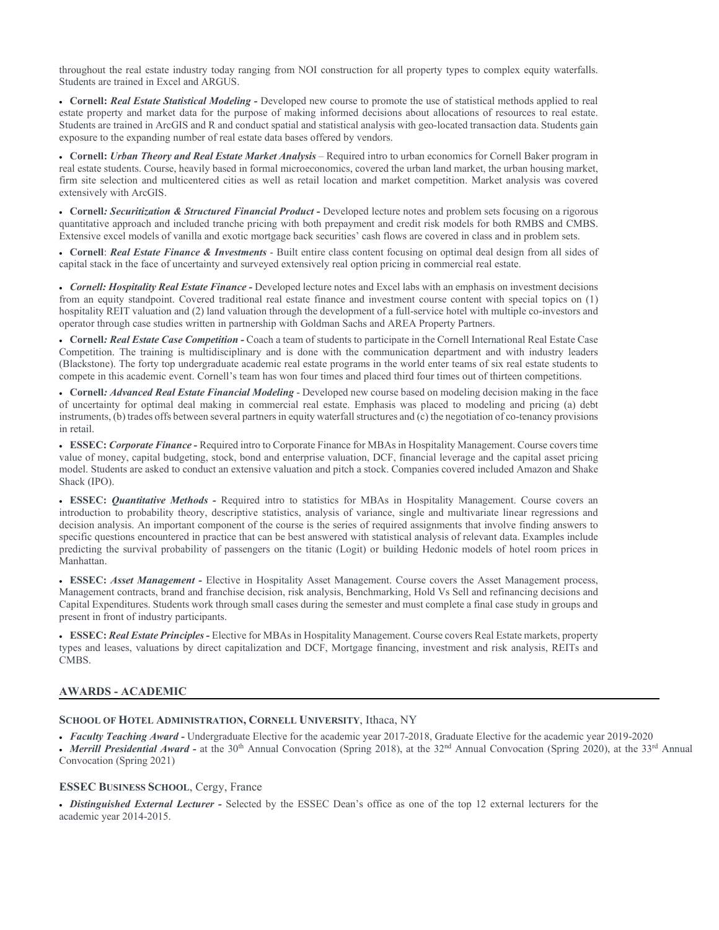throughout the real estate industry today ranging from NOI construction for all property types to complex equity waterfalls. Students are trained in Excel and ARGUS.

• **Cornell:** *Real Estate Statistical Modeling -* Developed new course to promote the use of statistical methods applied to real estate property and market data for the purpose of making informed decisions about allocations of resources to real estate. Students are trained in ArcGIS and R and conduct spatial and statistical analysis with geo-located transaction data. Students gain exposure to the expanding number of real estate data bases offered by vendors.

• **Cornell:** *Urban Theory and Real Estate Market Analysis –* Required intro to urban economics for Cornell Baker program in real estate students. Course, heavily based in formal microeconomics, covered the urban land market, the urban housing market, firm site selection and multicentered cities as well as retail location and market competition. Market analysis was covered extensively with ArcGIS.

• **Cornell***: Securitization & Structured Financial Product -* Developed lecture notes and problem sets focusing on a rigorous quantitative approach and included tranche pricing with both prepayment and credit risk models for both RMBS and CMBS. Extensive excel models of vanilla and exotic mortgage back securities' cash flows are covered in class and in problem sets.

• **Cornell**: *Real Estate Finance & Investments* - Built entire class content focusing on optimal deal design from all sides of capital stack in the face of uncertainty and surveyed extensively real option pricing in commercial real estate.

• *Cornell: Hospitality Real Estate Finance -* Developed lecture notes and Excel labs with an emphasis on investment decisions from an equity standpoint. Covered traditional real estate finance and investment course content with special topics on (1) hospitality REIT valuation and (2) land valuation through the development of a full-service hotel with multiple co-investors and operator through case studies written in partnership with Goldman Sachs and AREA Property Partners.

• **Cornell***: Real Estate Case Competition -* Coach a team of students to participate in the Cornell International Real Estate Case Competition. The training is multidisciplinary and is done with the communication department and with industry leaders (Blackstone). The forty top undergraduate academic real estate programs in the world enter teams of six real estate students to compete in this academic event. Cornell's team has won four times and placed third four times out of thirteen competitions.

• **Cornell***: Advanced Real Estate Financial Modeling* - Developed new course based on modeling decision making in the face of uncertainty for optimal deal making in commercial real estate. Emphasis was placed to modeling and pricing (a) debt instruments, (b) trades offs between several partners in equity waterfall structures and (c) the negotiation of co-tenancy provisions in retail.

• **ESSEC:** *Corporate Finance -* Required intro to Corporate Finance for MBAs in Hospitality Management. Course covers time value of money, capital budgeting, stock, bond and enterprise valuation, DCF, financial leverage and the capital asset pricing model. Students are asked to conduct an extensive valuation and pitch a stock. Companies covered included Amazon and Shake Shack (IPO).

• **ESSEC:** *Quantitative Methods -* Required intro to statistics for MBAs in Hospitality Management. Course covers an introduction to probability theory, descriptive statistics, analysis of variance, single and multivariate linear regressions and decision analysis. An important component of the course is the series of required assignments that involve finding answers to specific questions encountered in practice that can be best answered with statistical analysis of relevant data. Examples include predicting the survival probability of passengers on the titanic (Logit) or building Hedonic models of hotel room prices in Manhattan.

• **ESSEC:** *Asset Management -* Elective in Hospitality Asset Management. Course covers the Asset Management process, Management contracts, brand and franchise decision, risk analysis, Benchmarking, Hold Vs Sell and refinancing decisions and Capital Expenditures. Students work through small cases during the semester and must complete a final case study in groups and present in front of industry participants.

• **ESSEC:** *Real Estate Principles -* Elective for MBAs in Hospitality Management. Course covers Real Estate markets, property types and leases, valuations by direct capitalization and DCF, Mortgage financing, investment and risk analysis, REITs and CMBS.

### **AWARDS - ACADEMIC**

#### **SCHOOL OF HOTEL ADMINISTRATION, CORNELL UNIVERSITY**, Ithaca, NY

• *Faculty Teaching Award -* Undergraduate Elective for the academic year 2017-2018, Graduate Elective for the academic year 2019-2020

• *Merrill Presidential Award* - at the 30<sup>th</sup> Annual Convocation (Spring 2018), at the 32<sup>nd</sup> Annual Convocation (Spring 2020), at the 33<sup>rd</sup> Annual Convocation (Spring 2021)

#### **ESSEC BUSINESS SCHOOL**, Cergy, France

• *Distinguished External Lecturer -* Selected by the ESSEC Dean's office as one of the top 12 external lecturers for the academic year 2014-2015.